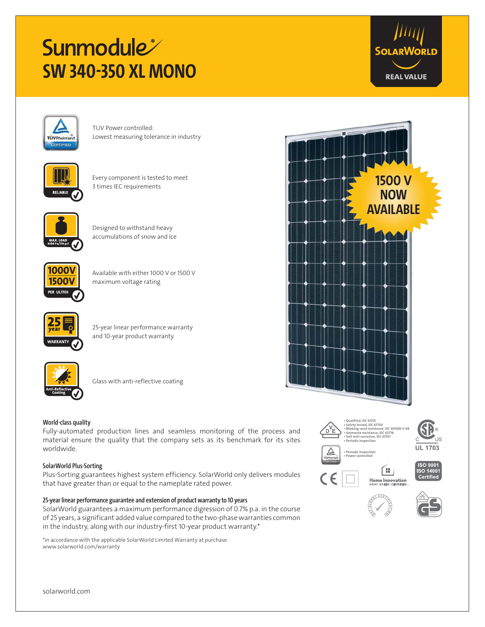# **Sunmodule SW 340-350 XL MONO**





TUV Power controlled: Lowest measuring tolerance in industry



Every component is tested to meet 3 times IEC requirements



Designed to withstand heavy accumulations of snow and ice



Available with either 1000 V or 1500 V maximum voltage rating



25-year linear performance warranty and 10-year product warranty



Glass with anti-reflective coating

## **World-class quality**

Fully-automated production lines and seamless monitoring of the process and material ensure the quality that the company sets as its benchmark for its sites worldwide.

#### **SolarWorld Plus-Sorting**

Plus-Sorting guarantees highest system efficiency. SolarWorld only delivers modules that have greater than or equal to the nameplate rated power.

### **25-year linear performance guarantee and extension of product warranty to 10 years**

SolarWorld guarantees a maximum performance digression of 0.7% p.a. in the course of 25 years, a significant added value compared to the two-phase warranties common in the industry, along with our industry-first 10-year product warranty.\*

\*in accordance with the applicable SolarWorld Limited Warranty at purchase. www.solarworld.com/warranty















ÎШ. Home Innovation



solarworld.com